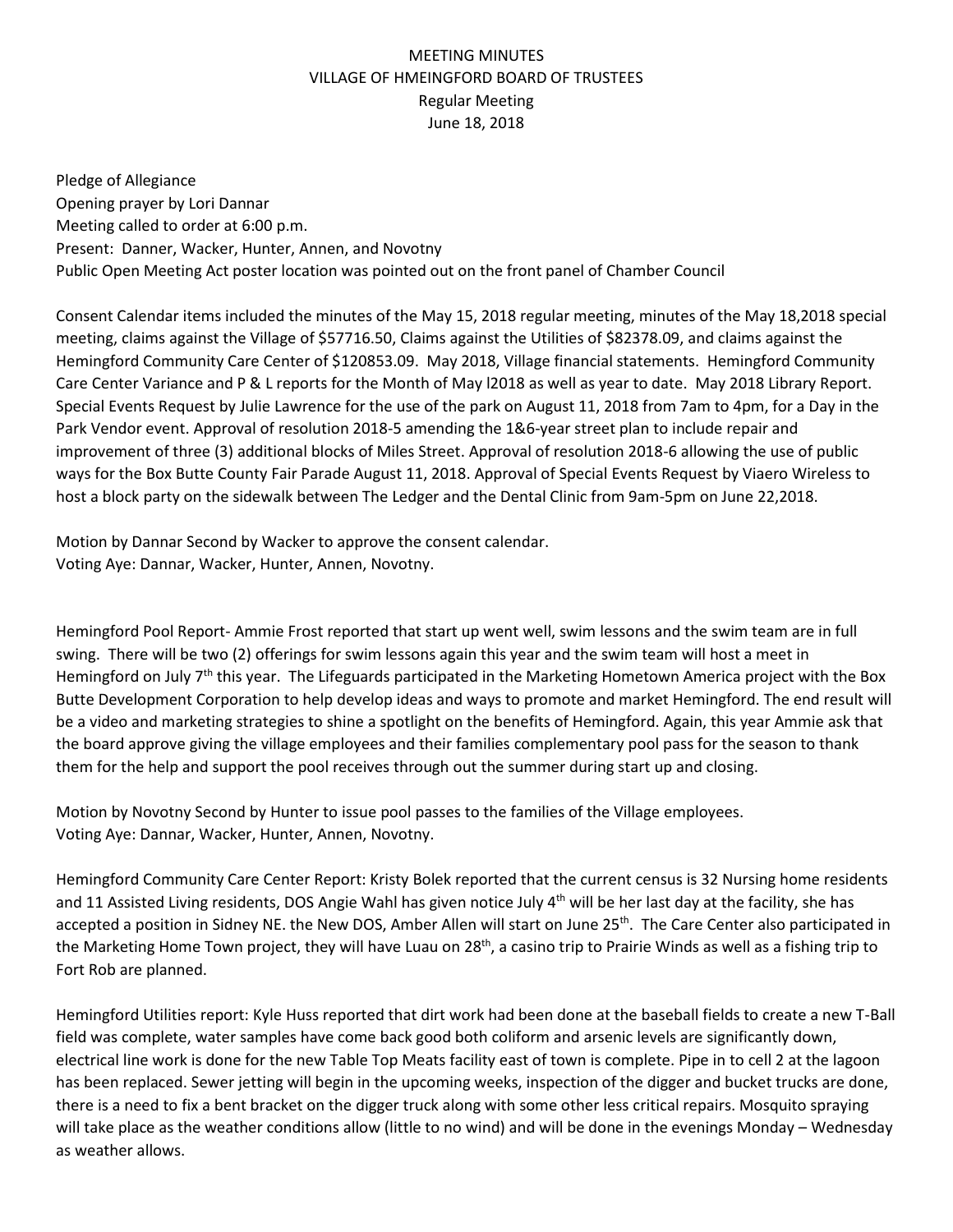## MEETING MINUTES VILLAGE OF HMEINGFORD BOARD OF TRUSTEES Regular Meeting June 18, 2018

Pledge of Allegiance Opening prayer by Lori Dannar Meeting called to order at 6:00 p.m. Present: Danner, Wacker, Hunter, Annen, and Novotny Public Open Meeting Act poster location was pointed out on the front panel of Chamber Council

Consent Calendar items included the minutes of the May 15, 2018 regular meeting, minutes of the May 18,2018 special meeting, claims against the Village of \$57716.50, Claims against the Utilities of \$82378.09, and claims against the Hemingford Community Care Center of \$120853.09.May 2018, Village financial statements. Hemingford Community Care Center Variance and P & L reports for the Month of May l2018 as well as year to date. May 2018 Library Report. Special Events Request by Julie Lawrence for the use of the park on August 11, 2018 from 7am to 4pm, for a Day in the Park Vendor event. Approval of resolution 2018-5 amending the 1&6-year street plan to include repair and improvement of three (3) additional blocks of Miles Street. Approval of resolution 2018-6 allowing the use of public ways for the Box Butte County Fair Parade August 11, 2018. Approval of Special Events Request by Viaero Wireless to host a block party on the sidewalk between The Ledger and the Dental Clinic from 9am-5pm on June 22,2018.

Motion by Dannar Second by Wacker to approve the consent calendar. Voting Aye: Dannar, Wacker, Hunter, Annen, Novotny.

Hemingford Pool Report- Ammie Frost reported that start up went well, swim lessons and the swim team are in full swing. There will be two (2) offerings for swim lessons again this year and the swim team will host a meet in Hemingford on July 7<sup>th</sup> this year. The Lifeguards participated in the Marketing Hometown America project with the Box Butte Development Corporation to help develop ideas and ways to promote and market Hemingford. The end result will be a video and marketing strategies to shine a spotlight on the benefits of Hemingford. Again, this year Ammie ask that the board approve giving the village employees and their families complementary pool pass for the season to thank them for the help and support the pool receives through out the summer during start up and closing.

Motion by Novotny Second by Hunter to issue pool passes to the families of the Village employees. Voting Aye: Dannar, Wacker, Hunter, Annen, Novotny.

Hemingford Community Care Center Report: Kristy Bolek reported that the current census is 32 Nursing home residents and 11 Assisted Living residents, DOS Angie Wahl has given notice July  $4^{th}$  will be her last day at the facility, she has accepted a position in Sidney NE. the New DOS, Amber Allen will start on June 25<sup>th</sup>. The Care Center also participated in the Marketing Home Town project, they will have Luau on 28<sup>th</sup>, a casino trip to Prairie Winds as well as a fishing trip to Fort Rob are planned.

Hemingford Utilities report: Kyle Huss reported that dirt work had been done at the baseball fields to create a new T-Ball field was complete, water samples have come back good both coliform and arsenic levels are significantly down, electrical line work is done for the new Table Top Meats facility east of town is complete. Pipe in to cell 2 at the lagoon has been replaced. Sewer jetting will begin in the upcoming weeks, inspection of the digger and bucket trucks are done, there is a need to fix a bent bracket on the digger truck along with some other less critical repairs. Mosquito spraying will take place as the weather conditions allow (little to no wind) and will be done in the evenings Monday – Wednesday as weather allows.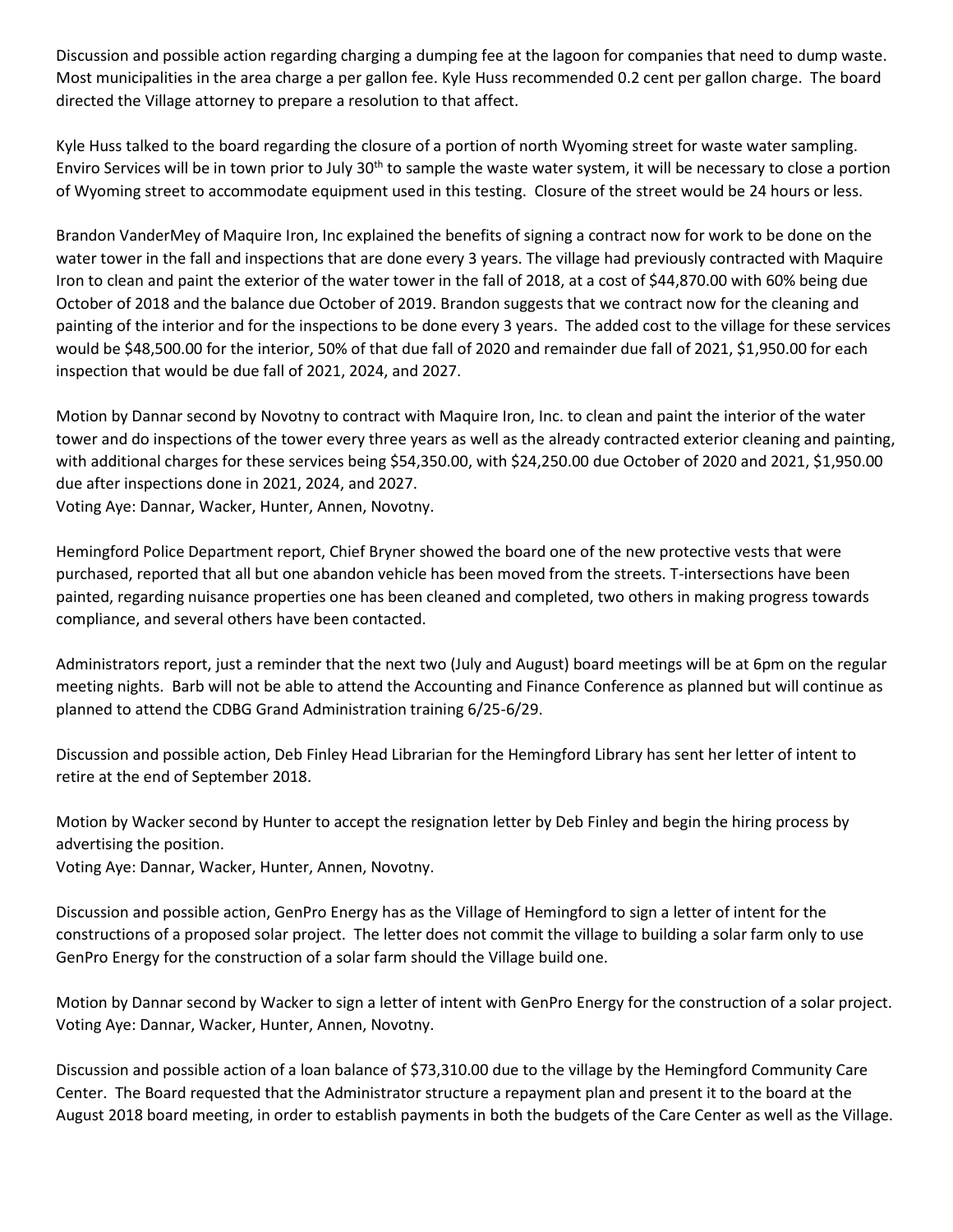Discussion and possible action regarding charging a dumping fee at the lagoon for companies that need to dump waste. Most municipalities in the area charge a per gallon fee. Kyle Huss recommended 0.2 cent per gallon charge. The board directed the Village attorney to prepare a resolution to that affect.

Kyle Huss talked to the board regarding the closure of a portion of north Wyoming street for waste water sampling. Enviro Services will be in town prior to July  $30<sup>th</sup>$  to sample the waste water system, it will be necessary to close a portion of Wyoming street to accommodate equipment used in this testing. Closure of the street would be 24 hours or less.

Brandon VanderMey of Maquire Iron, Inc explained the benefits of signing a contract now for work to be done on the water tower in the fall and inspections that are done every 3 years. The village had previously contracted with Maquire Iron to clean and paint the exterior of the water tower in the fall of 2018, at a cost of \$44,870.00 with 60% being due October of 2018 and the balance due October of 2019. Brandon suggests that we contract now for the cleaning and painting of the interior and for the inspections to be done every 3 years. The added cost to the village for these services would be \$48,500.00 for the interior, 50% of that due fall of 2020 and remainder due fall of 2021, \$1,950.00 for each inspection that would be due fall of 2021, 2024, and 2027.

Motion by Dannar second by Novotny to contract with Maquire Iron, Inc. to clean and paint the interior of the water tower and do inspections of the tower every three years as well as the already contracted exterior cleaning and painting, with additional charges for these services being \$54,350.00, with \$24,250.00 due October of 2020 and 2021, \$1,950.00 due after inspections done in 2021, 2024, and 2027.

Voting Aye: Dannar, Wacker, Hunter, Annen, Novotny.

Hemingford Police Department report, Chief Bryner showed the board one of the new protective vests that were purchased, reported that all but one abandon vehicle has been moved from the streets. T-intersections have been painted, regarding nuisance properties one has been cleaned and completed, two others in making progress towards compliance, and several others have been contacted.

Administrators report, just a reminder that the next two (July and August) board meetings will be at 6pm on the regular meeting nights. Barb will not be able to attend the Accounting and Finance Conference as planned but will continue as planned to attend the CDBG Grand Administration training 6/25-6/29.

Discussion and possible action, Deb Finley Head Librarian for the Hemingford Library has sent her letter of intent to retire at the end of September 2018.

Motion by Wacker second by Hunter to accept the resignation letter by Deb Finley and begin the hiring process by advertising the position.

Voting Aye: Dannar, Wacker, Hunter, Annen, Novotny.

Discussion and possible action, GenPro Energy has as the Village of Hemingford to sign a letter of intent for the constructions of a proposed solar project. The letter does not commit the village to building a solar farm only to use GenPro Energy for the construction of a solar farm should the Village build one.

Motion by Dannar second by Wacker to sign a letter of intent with GenPro Energy for the construction of a solar project. Voting Aye: Dannar, Wacker, Hunter, Annen, Novotny.

Discussion and possible action of a loan balance of \$73,310.00 due to the village by the Hemingford Community Care Center. The Board requested that the Administrator structure a repayment plan and present it to the board at the August 2018 board meeting, in order to establish payments in both the budgets of the Care Center as well as the Village.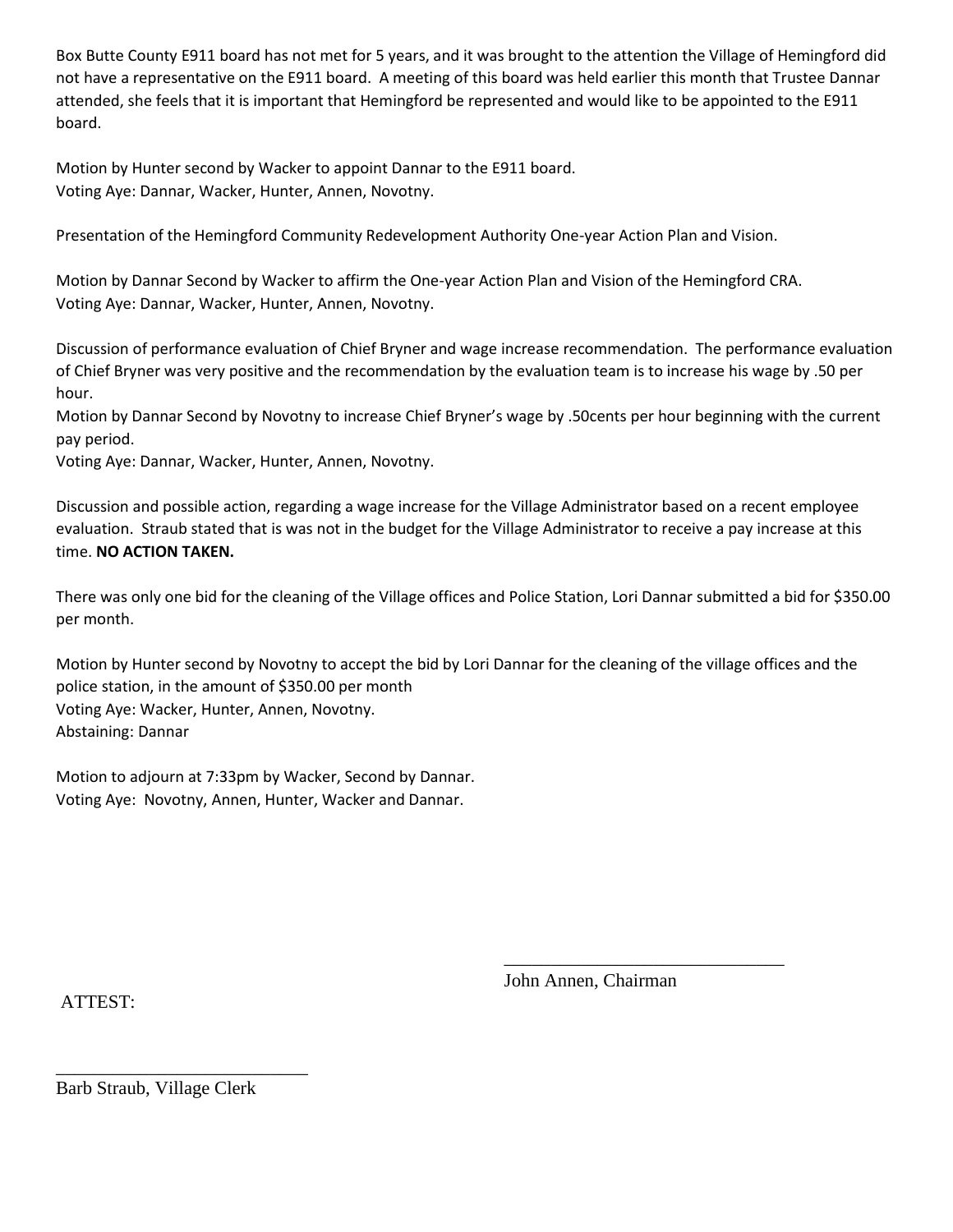Box Butte County E911 board has not met for 5 years, and it was brought to the attention the Village of Hemingford did not have a representative on the E911 board. A meeting of this board was held earlier this month that Trustee Dannar attended, she feels that it is important that Hemingford be represented and would like to be appointed to the E911 board.

Motion by Hunter second by Wacker to appoint Dannar to the E911 board. Voting Aye: Dannar, Wacker, Hunter, Annen, Novotny.

Presentation of the Hemingford Community Redevelopment Authority One-year Action Plan and Vision.

Motion by Dannar Second by Wacker to affirm the One-year Action Plan and Vision of the Hemingford CRA. Voting Aye: Dannar, Wacker, Hunter, Annen, Novotny.

Discussion of performance evaluation of Chief Bryner and wage increase recommendation. The performance evaluation of Chief Bryner was very positive and the recommendation by the evaluation team is to increase his wage by .50 per hour.

Motion by Dannar Second by Novotny to increase Chief Bryner's wage by .50cents per hour beginning with the current pay period.

Voting Aye: Dannar, Wacker, Hunter, Annen, Novotny.

Discussion and possible action, regarding a wage increase for the Village Administrator based on a recent employee evaluation. Straub stated that is was not in the budget for the Village Administrator to receive a pay increase at this time. **NO ACTION TAKEN.**

There was only one bid for the cleaning of the Village offices and Police Station, Lori Dannar submitted a bid for \$350.00 per month.

Motion by Hunter second by Novotny to accept the bid by Lori Dannar for the cleaning of the village offices and the police station, in the amount of \$350.00 per month Voting Aye: Wacker, Hunter, Annen, Novotny. Abstaining: Dannar

Motion to adjourn at 7:33pm by Wacker, Second by Dannar. Voting Aye: Novotny, Annen, Hunter, Wacker and Dannar.

ATTEST:

John Annen, Chairman

\_\_\_\_\_\_\_\_\_\_\_\_\_\_\_\_\_\_\_\_\_\_\_\_\_\_\_\_\_\_

Barb Straub, Village Clerk

\_\_\_\_\_\_\_\_\_\_\_\_\_\_\_\_\_\_\_\_\_\_\_\_\_\_\_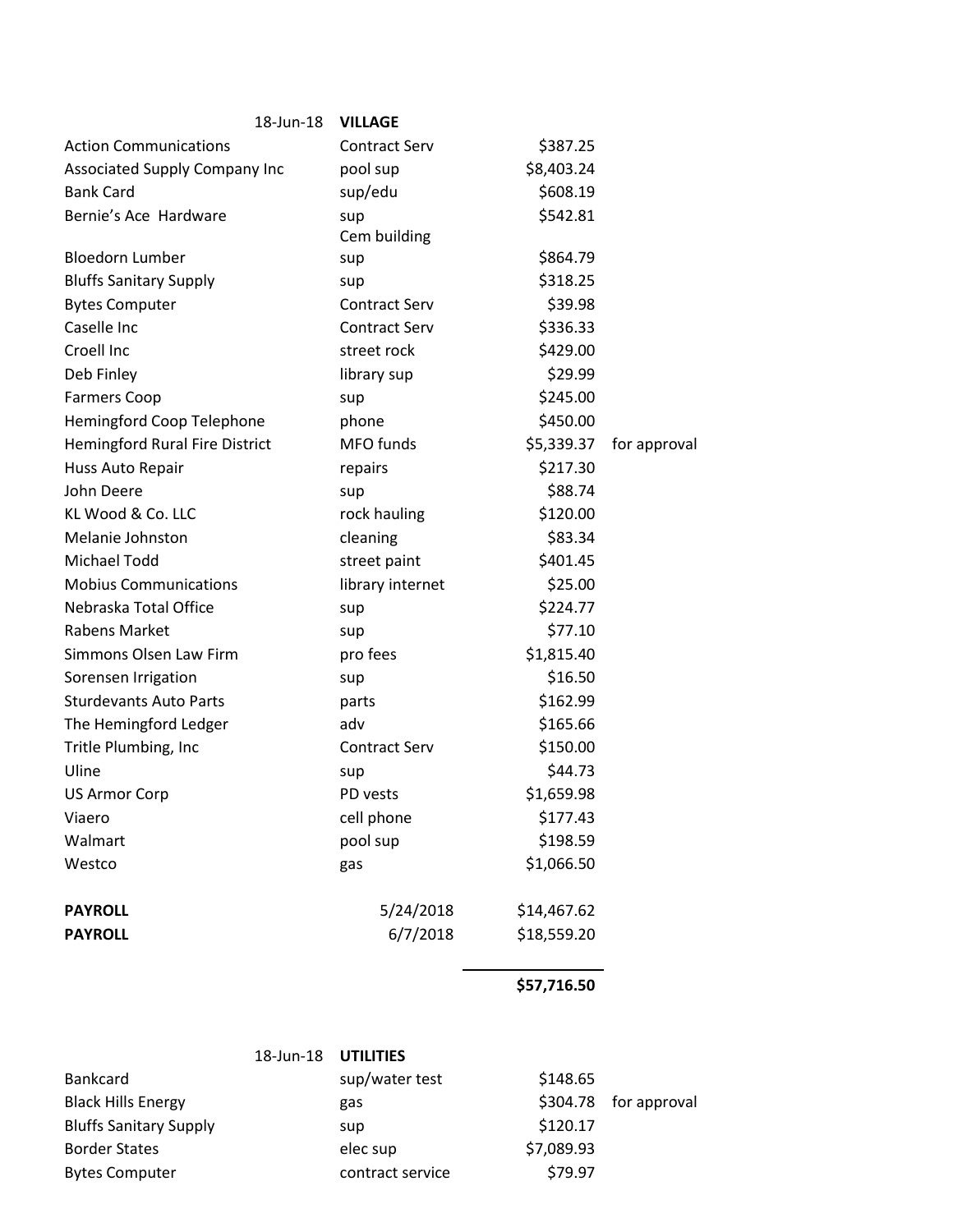| 18-Jun-18                             | <b>VILLAGE</b>       |             |              |
|---------------------------------------|----------------------|-------------|--------------|
| <b>Action Communications</b>          | <b>Contract Serv</b> | \$387.25    |              |
| Associated Supply Company Inc         | pool sup             | \$8,403.24  |              |
| <b>Bank Card</b>                      | sup/edu              | \$608.19    |              |
| Bernie's Ace Hardware                 | sup                  | \$542.81    |              |
|                                       | Cem building         |             |              |
| <b>Bloedorn Lumber</b>                | sup                  | \$864.79    |              |
| <b>Bluffs Sanitary Supply</b>         | sup                  | \$318.25    |              |
| <b>Bytes Computer</b>                 | <b>Contract Serv</b> | \$39.98     |              |
| Caselle Inc                           | <b>Contract Serv</b> | \$336.33    |              |
| Croell Inc                            | street rock          | \$429.00    |              |
| Deb Finley                            | library sup          | \$29.99     |              |
| <b>Farmers Coop</b>                   | sup                  | \$245.00    |              |
| Hemingford Coop Telephone             | phone                | \$450.00    |              |
| <b>Hemingford Rural Fire District</b> | MFO funds            | \$5,339.37  | for approval |
| Huss Auto Repair                      | repairs              | \$217.30    |              |
| John Deere                            | sup                  | \$88.74     |              |
| KL Wood & Co. LLC                     | rock hauling         | \$120.00    |              |
| Melanie Johnston                      | cleaning             | \$83.34     |              |
| Michael Todd                          | street paint         | \$401.45    |              |
| <b>Mobius Communications</b>          | library internet     | \$25.00     |              |
| Nebraska Total Office                 | sup                  | \$224.77    |              |
| Rabens Market                         | sup                  | \$77.10     |              |
| Simmons Olsen Law Firm                | pro fees             | \$1,815.40  |              |
| Sorensen Irrigation                   | sup                  | \$16.50     |              |
| <b>Sturdevants Auto Parts</b>         | parts                | \$162.99    |              |
| The Hemingford Ledger                 | adv                  | \$165.66    |              |
| Tritle Plumbing, Inc                  | <b>Contract Serv</b> | \$150.00    |              |
| Uline                                 | sup                  | \$44.73     |              |
| <b>US Armor Corp</b>                  | PD vests             | \$1,659.98  |              |
| Viaero                                | cell phone           | \$177.43    |              |
| Walmart                               | pool sup             | \$198.59    |              |
| Westco                                | gas                  | \$1,066.50  |              |
| <b>PAYROLL</b>                        | 5/24/2018            | \$14,467.62 |              |
| <b>PAYROLL</b>                        | 6/7/2018             | \$18,559.20 |              |
|                                       |                      |             |              |

## **\$57,716.50**

|                               | 18-Jun-18 | UTILITIES        |            |                       |
|-------------------------------|-----------|------------------|------------|-----------------------|
| Bankcard                      |           | sup/water test   | \$148.65   |                       |
| <b>Black Hills Energy</b>     |           | gas              |            | \$304.78 for approval |
| <b>Bluffs Sanitary Supply</b> |           | sup              | \$120.17   |                       |
| <b>Border States</b>          |           | elec sup         | \$7,089.93 |                       |
| <b>Bytes Computer</b>         |           | contract service | \$79.97    |                       |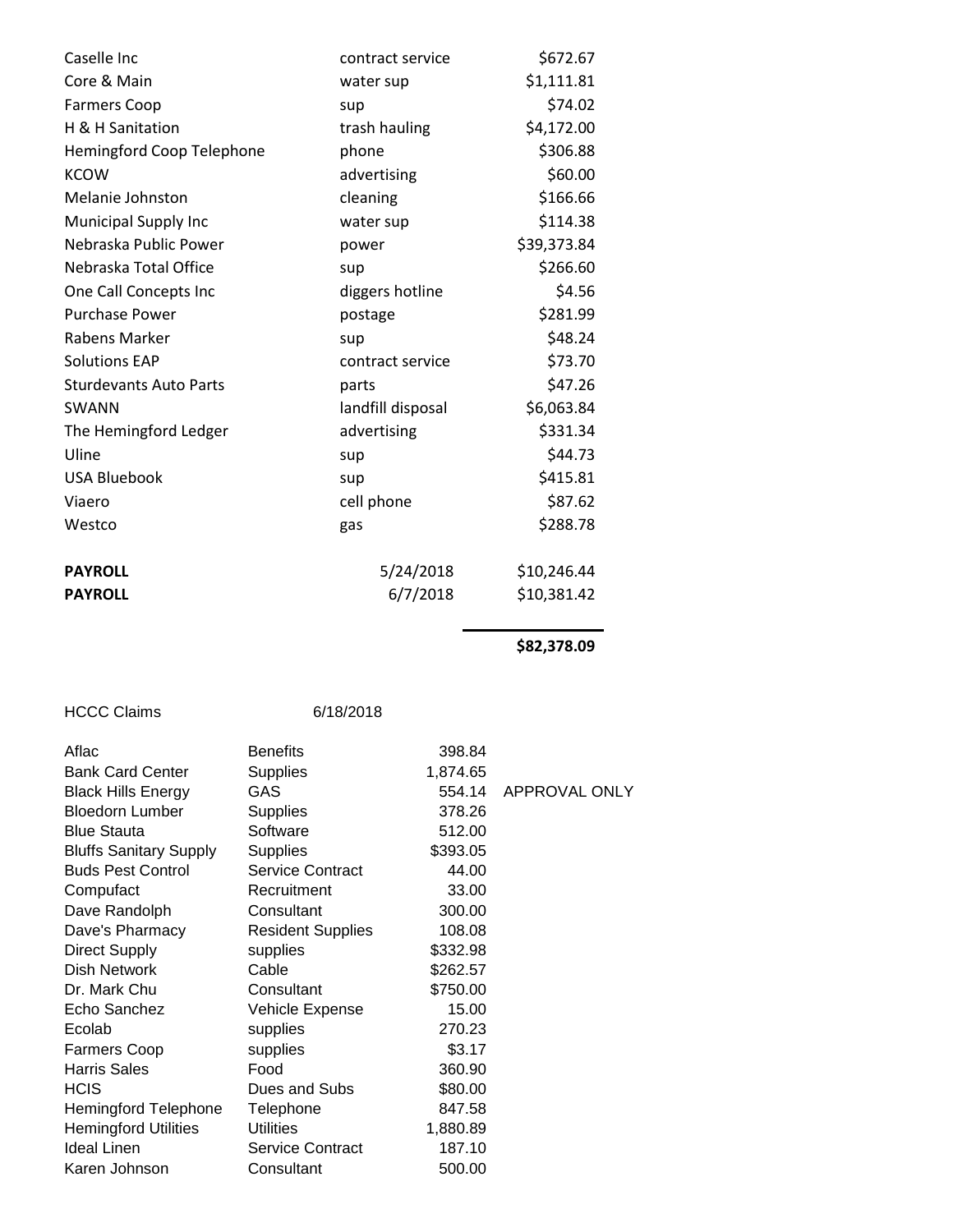| Caselle Inc                   | contract service  | \$672.67    |
|-------------------------------|-------------------|-------------|
| Core & Main                   | water sup         | \$1,111.81  |
| <b>Farmers Coop</b>           | sup               | \$74.02     |
| H & H Sanitation              | trash hauling     | \$4,172.00  |
| Hemingford Coop Telephone     | phone             | \$306.88    |
| <b>KCOW</b>                   | advertising       | \$60.00     |
| Melanie Johnston              | cleaning          | \$166.66    |
| <b>Municipal Supply Inc</b>   | water sup         | \$114.38    |
| Nebraska Public Power         | power             | \$39,373.84 |
| Nebraska Total Office         | sup               | \$266.60    |
| One Call Concepts Inc         | diggers hotline   | \$4.56      |
| <b>Purchase Power</b>         | postage           | \$281.99    |
| Rabens Marker                 | sup               | \$48.24     |
| <b>Solutions EAP</b>          | contract service  | \$73.70     |
| <b>Sturdevants Auto Parts</b> | parts             | \$47.26     |
| <b>SWANN</b>                  | landfill disposal | \$6,063.84  |
| The Hemingford Ledger         | advertising       | \$331.34    |
| Uline                         | sup               | \$44.73     |
| <b>USA Bluebook</b>           | sup               | \$415.81    |
| Viaero                        | cell phone        | \$87.62     |
| Westco                        | gas               | \$288.78    |
| <b>PAYROLL</b>                | 5/24/2018         | \$10,246.44 |
| <b>PAYROLL</b>                | 6/7/2018          | \$10,381.42 |
|                               |                   |             |

**\$82,378.09** 

| <b>Benefits</b>          |                              |               |
|--------------------------|------------------------------|---------------|
|                          | 1,874.65                     |               |
| GAS                      | 554.14                       | APPROVAL ONLY |
| <b>Supplies</b>          | 378.26                       |               |
| Software                 | 512.00                       |               |
| <b>Supplies</b>          | \$393.05                     |               |
| Service Contract         | 44.00                        |               |
| Recruitment              | 33.00                        |               |
| Consultant               | 300.00                       |               |
| <b>Resident Supplies</b> | 108.08                       |               |
| supplies                 | \$332.98                     |               |
| Cable                    | \$262.57                     |               |
| Consultant               | \$750.00                     |               |
| Vehicle Expense          | 15.00                        |               |
| supplies                 | 270.23                       |               |
| supplies                 | \$3.17                       |               |
| Food                     | 360.90                       |               |
| Dues and Subs            | \$80.00                      |               |
| Telephone                | 847.58                       |               |
| <b>Utilities</b>         | 1,880.89                     |               |
| Service Contract         | 187.10                       |               |
| Consultant               | 500.00                       |               |
|                          | 6/18/2018<br><b>Supplies</b> | 398.84        |